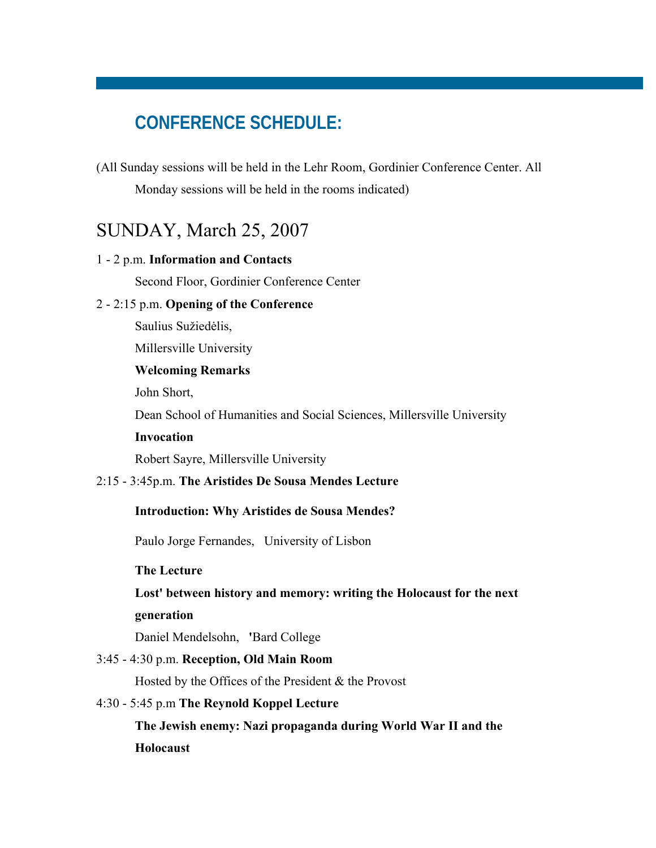# **CONFERENCE SCHEDULE:**

(All Sunday sessions will be held in the Lehr Room, Gordinier Conference Center. All Monday sessions will be held in the rooms indicated)

# SUNDAY, March 25, 2007

## 1 - 2 p.m. **Information and Contacts**

Second Floor, Gordinier Conference Center

## 2 - 2:15 p.m. **Opening of the Conference**

Saulius Sužiedėlis,

Millersville University

## **Welcoming Remarks**

John Short,

Dean School of Humanities and Social Sciences, Millersville University

## **Invocation**

Robert Sayre, Millersville University

## 2:15 - 3:45p.m. **The Aristides De Sousa Mendes Lecture**

### **Introduction: Why Aristides de Sousa Mendes?**

Paulo Jorge Fernandes, University of Lisbon

### **The Lecture**

# **Lost' between history and memory: writing the Holocaust for the next generation**

Daniel Mendelsohn, **'**Bard College

### 3:45 - 4:30 p.m. **Reception, Old Main Room**

Hosted by the Offices of the President & the Provost

## 4:30 - 5:45 p.m **The Reynold Koppel Lecture**

**The Jewish enemy: Nazi propaganda during World War II and the Holocaust**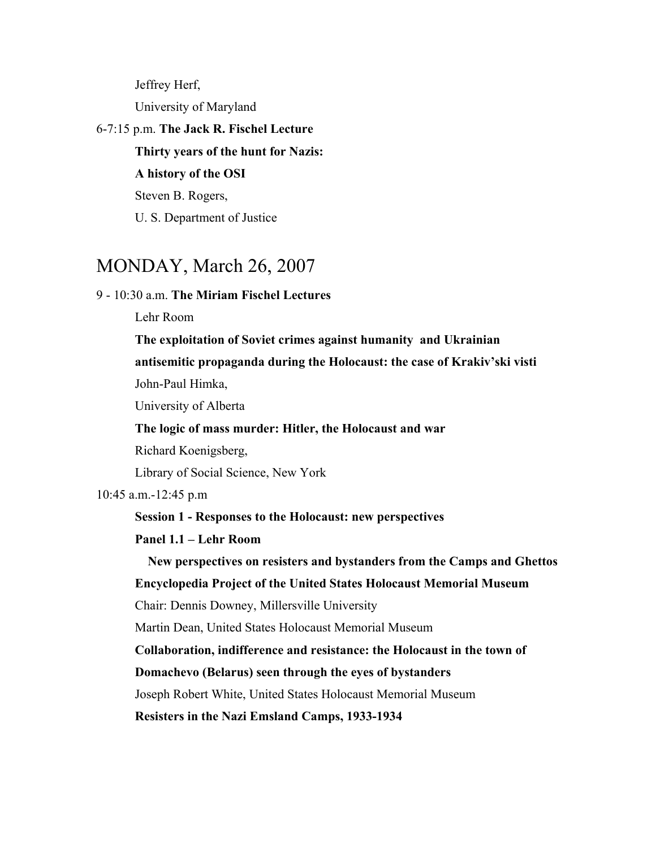Jeffrey Herf, University of Maryland

## 6-7:15 p.m. **The Jack R. Fischel Lecture**

**Thirty years of the hunt for Nazis:**

**A history of the OSI** 

Steven B. Rogers,

U. S. Department of Justice

# MONDAY, March 26, 2007

## 9 - 10:30 a.m. **The Miriam Fischel Lectures**

Lehr Room

**The exploitation of Soviet crimes against humanity and Ukrainian** 

**antisemitic propaganda during the Holocaust: the case of Krakiv'ski visti**  John-Paul Himka,

University of Alberta

**The logic of mass murder: Hitler, the Holocaust and war**

Richard Koenigsberg,

Library of Social Science, New York

10:45 a.m.-12:45 p.m

**Session 1 - Responses to the Holocaust: new perspectives**

# **Panel 1.1 – Lehr Room**

**New perspectives on resisters and bystanders from the Camps and Ghettos** 

**Encyclopedia Project of the United States Holocaust Memorial Museum** 

Chair: Dennis Downey, Millersville University

Martin Dean, United States Holocaust Memorial Museum

**Collaboration, indifference and resistance: the Holocaust in the town of** 

**Domachevo (Belarus) seen through the eyes of bystanders**

Joseph Robert White, United States Holocaust Memorial Museum

**Resisters in the Nazi Emsland Camps, 1933-1934**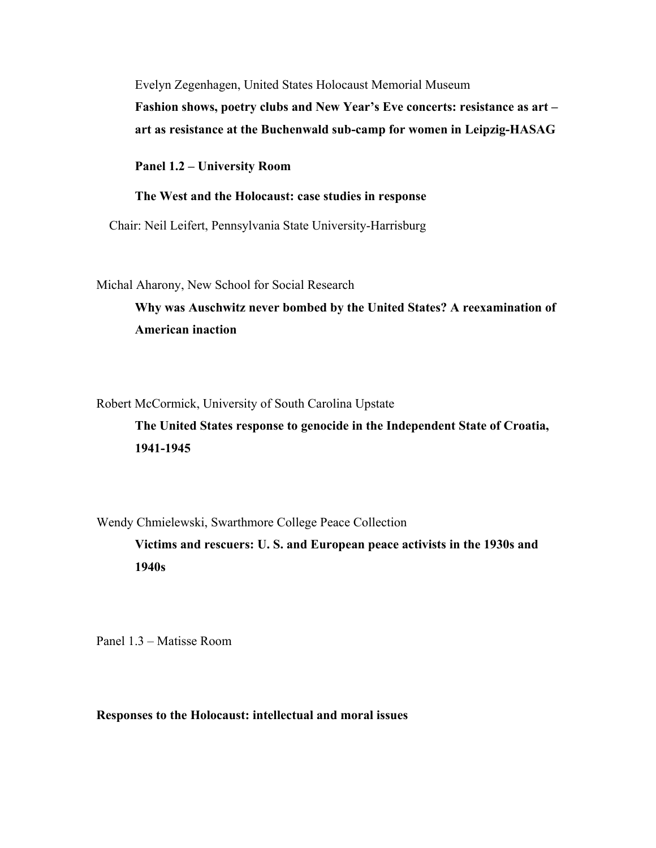Evelyn Zegenhagen, United States Holocaust Memorial Museum **Fashion shows, poetry clubs and New Year's Eve concerts: resistance as art – art as resistance at the Buchenwald sub-camp for women in Leipzig-HASAG** 

**Panel 1.2 – University Room** 

#### **The West and the Holocaust: case studies in response**

Chair: Neil Leifert, Pennsylvania State University-Harrisburg

Michal Aharony, New School for Social Research

**Why was Auschwitz never bombed by the United States? A reexamination of American inaction**

Robert McCormick, University of South Carolina Upstate

**The United States response to genocide in the Independent State of Croatia, 1941-1945**

Wendy Chmielewski, Swarthmore College Peace Collection

**Victims and rescuers: U. S. and European peace activists in the 1930s and 1940s**

Panel 1.3 – Matisse Room

**Responses to the Holocaust: intellectual and moral issues**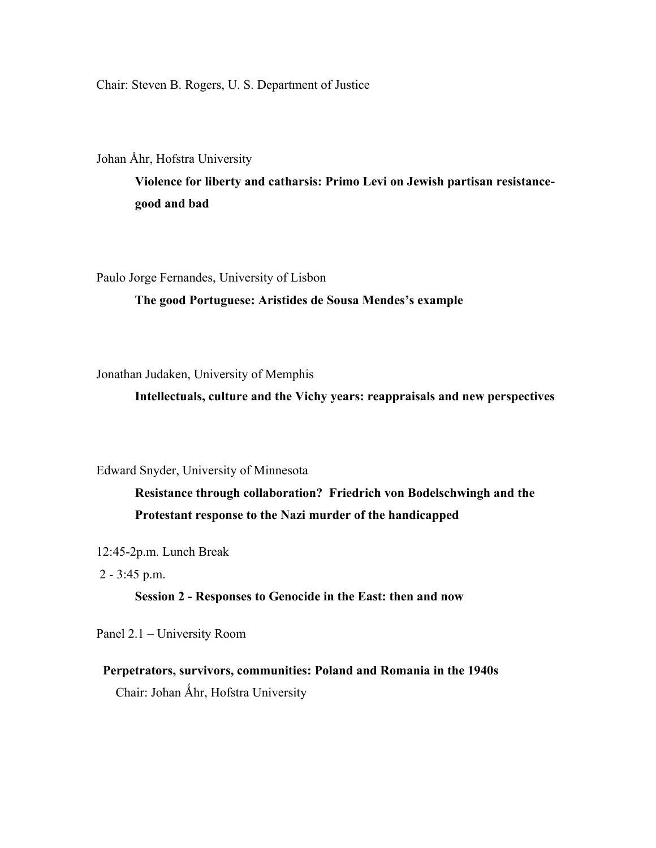Chair: Steven B. Rogers, U. S. Department of Justice

Johan Åhr, Hofstra University

**Violence for liberty and catharsis: Primo Levi on Jewish partisan resistancegood and bad**

Paulo Jorge Fernandes, University of Lisbon

**The good Portuguese: Aristides de Sousa Mendes's example**

Jonathan Judaken, University of Memphis

**Intellectuals, culture and the Vichy years: reappraisals and new perspectives**

Edward Snyder, University of Minnesota

**Resistance through collaboration? Friedrich von Bodelschwingh and the Protestant response to the Nazi murder of the handicapped**

12:45-2p.m. Lunch Break

2 - 3:45 p.m.

## **Session 2 - Responses to Genocide in the East: then and now**

Panel 2.1 – University Room

# **Perpetrators, survivors, communities: Poland and Romania in the 1940s** Chair: Johan Åhr, Hofstra University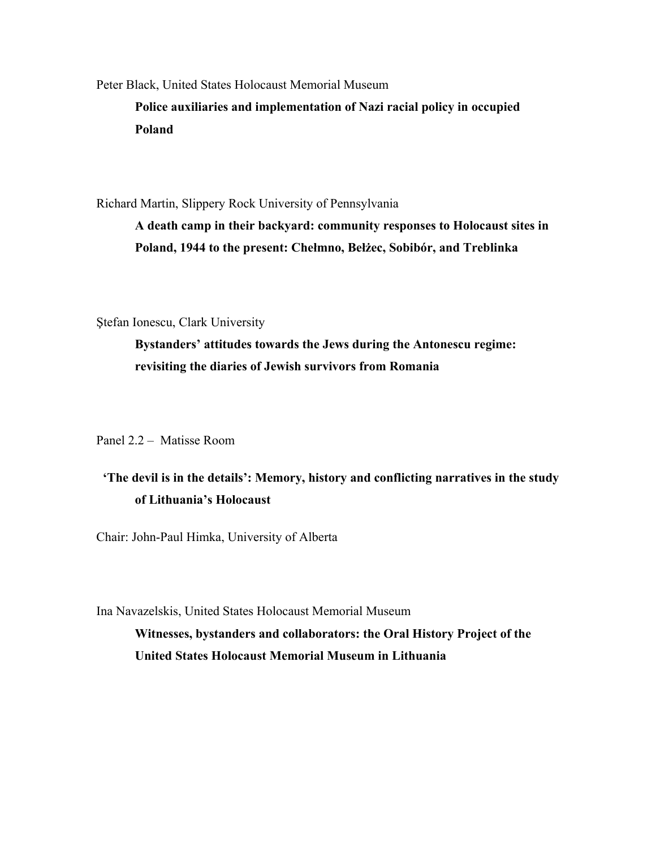Peter Black, United States Holocaust Memorial Museum **Police auxiliaries and implementation of Nazi racial policy in occupied Poland**

Richard Martin, Slippery Rock University of Pennsylvania

**A death camp in their backyard: community responses to Holocaust sites in Poland, 1944 to the present: Chełmno, Bełżec, Sobibór, and Treblinka**

Ştefan Ionescu, Clark University

**Bystanders' attitudes towards the Jews during the Antonescu regime: revisiting the diaries of Jewish survivors from Romania**

Panel 2.2 – Matisse Room

# **'The devil is in the details': Memory, history and conflicting narratives in the study of Lithuania's Holocaust**

Chair: John-Paul Himka, University of Alberta

Ina Navazelskis, United States Holocaust Memorial Museum **Witnesses, bystanders and collaborators: the Oral History Project of the United States Holocaust Memorial Museum in Lithuania**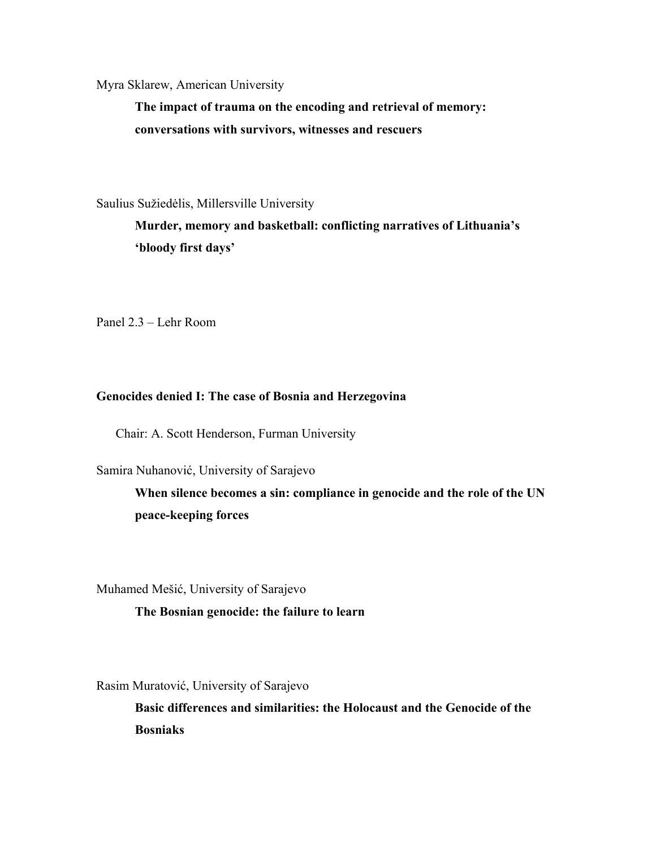Myra Sklarew, American University

**The impact of trauma on the encoding and retrieval of memory: conversations with survivors, witnesses and rescuers**

Saulius Sužiedėlis, Millersville University

**Murder, memory and basketball: conflicting narratives of Lithuania's 'bloody first days'**

Panel 2.3 – Lehr Room

## **Genocides denied I: The case of Bosnia and Herzegovina**

Chair: A. Scott Henderson, Furman University

Samira Nuhanović, University of Sarajevo

**When silence becomes a sin: compliance in genocide and the role of the UN peace-keeping forces**

Muhamed Mešić, University of Sarajevo

## **The Bosnian genocide: the failure to learn**

Rasim Muratović, University of Sarajevo

**Basic differences and similarities: the Holocaust and the Genocide of the Bosniaks**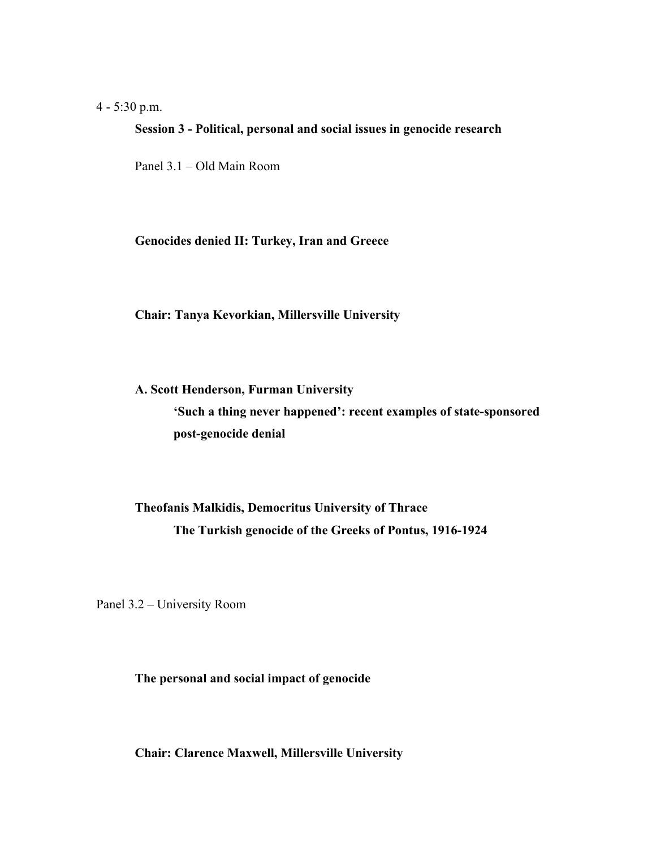## 4 - 5:30 p.m.

#### **Session 3 - Political, personal and social issues in genocide research**

Panel 3.1 – Old Main Room

#### **Genocides denied II: Turkey, Iran and Greece**

**Chair: Tanya Kevorkian, Millersville University**

# **A. Scott Henderson, Furman University 'Such a thing never happened': recent examples of state-sponsored post-genocide denial**

# **Theofanis Malkidis, Democritus University of Thrace The Turkish genocide of the Greeks of Pontus, 1916-1924**

Panel 3.2 – University Room

## **The personal and social impact of genocide**

**Chair: Clarence Maxwell, Millersville University**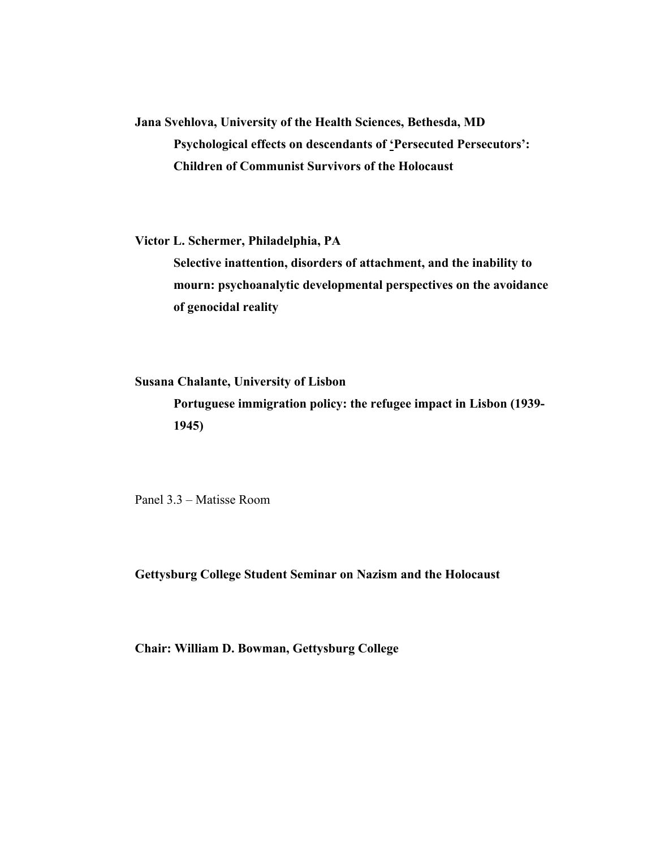**Jana Svehlova, University of the Health Sciences, Bethesda, MD Psychological effects on descendants of 'Persecuted Persecutors': Children of Communist Survivors of the Holocaust**

**Victor L. Schermer, Philadelphia, PA**

**Selective inattention, disorders of attachment, and the inability to mourn: psychoanalytic developmental perspectives on the avoidance of genocidal reality**

**Susana Chalante, University of Lisbon**

**Portuguese immigration policy: the refugee impact in Lisbon (1939- 1945)**

Panel 3.3 – Matisse Room

**Gettysburg College Student Seminar on Nazism and the Holocaust**

**Chair: William D. Bowman, Gettysburg College**